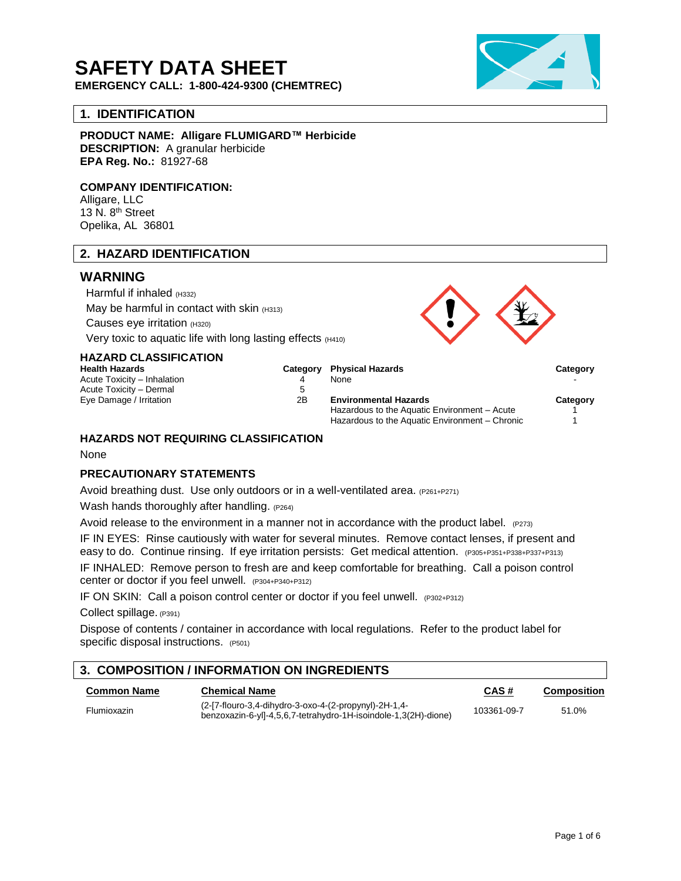# **SAFETY DATA SHEET**

**EMERGENCY CALL: 1-800-424-9300 (CHEMTREC)**

## **1. IDENTIFICATION**

**PRODUCT NAME: Alligare FLUMIGARD™ Herbicide DESCRIPTION:** A granular herbicide **EPA Reg. No.:** 81927-68

### **COMPANY IDENTIFICATION:**

Alligare, LLC 13 N. 8th Street Opelika, AL 36801

## **2. HAZARD IDENTIFICATION**

## **WARNING**

Harmful if inhaled (H332) May be harmful in contact with skin  $(H313)$ Causes eye irritation (H320) Very toxic to aquatic life with long lasting effects (H410)

**HAZARD CLASSIFICATION**

Acute Toxicity – Inhalation  $4\overline{4}$ Acute Toxicity – Dermal 5



### **HAZARDS NOT REQUIRING CLASSIFICATION**

None

### **PRECAUTIONARY STATEMENTS**

Avoid breathing dust. Use only outdoors or in a well-ventilated area. (P261+P271)

Wash hands thoroughly after handling. (P264)

Avoid release to the environment in a manner not in accordance with the product label. (P273)

IF IN EYES: Rinse cautiously with water for several minutes. Remove contact lenses, if present and easy to do. Continue rinsing. If eye irritation persists: Get medical attention. (P305+P351+P338+P337+P313) IF INHALED: Remove person to fresh are and keep comfortable for breathing. Call a poison control center or doctor if you feel unwell. (P304+P340+P312)

IF ON SKIN: Call a poison control center or doctor if you feel unwell. (P302+P312)

Collect spillage. (P391)

Dispose of contents / container in accordance with local regulations. Refer to the product label for specific disposal instructions. (P501)

## **3. COMPOSITION / INFORMATION ON INGREDIENTS**

| <b>Common Name</b> | <b>Chemical Name</b>                                                                                                     | CAS#        | Composition |
|--------------------|--------------------------------------------------------------------------------------------------------------------------|-------------|-------------|
| <b>Flumioxazin</b> | (2-[7-flouro-3,4-dihydro-3-oxo-4-(2-propynyl)-2H-1,4-<br>benzoxazin-6-yll-4,5,6,7-tetrahydro-1H-isoindole-1,3(2H)-dione) | 103361-09-7 | 51.0%       |

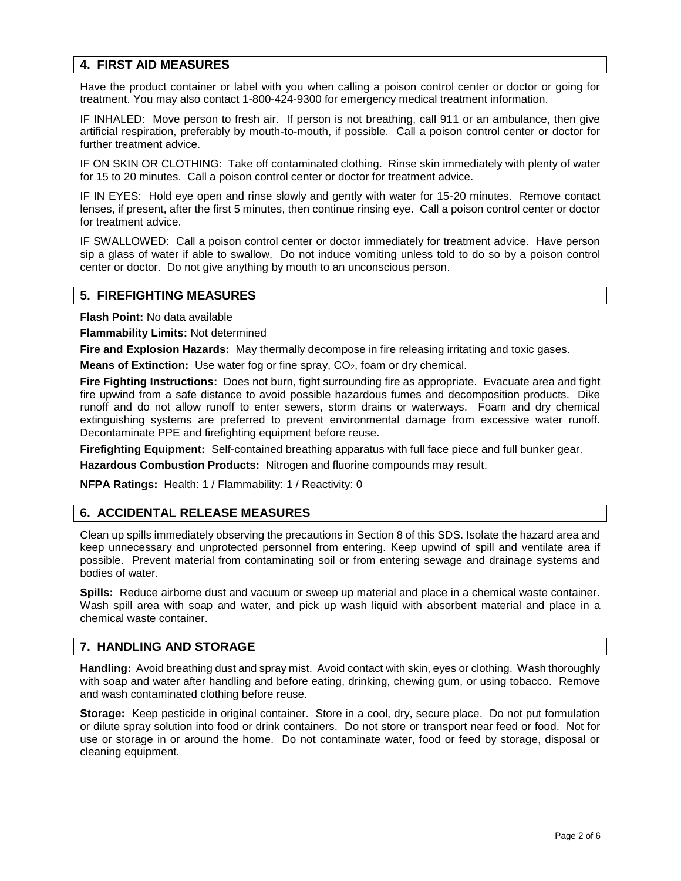## **4. FIRST AID MEASURES**

Have the product container or label with you when calling a poison control center or doctor or going for treatment. You may also contact 1-800-424-9300 for emergency medical treatment information.

IF INHALED: Move person to fresh air. If person is not breathing, call 911 or an ambulance, then give artificial respiration, preferably by mouth-to-mouth, if possible. Call a poison control center or doctor for further treatment advice.

IF ON SKIN OR CLOTHING: Take off contaminated clothing. Rinse skin immediately with plenty of water for 15 to 20 minutes. Call a poison control center or doctor for treatment advice.

IF IN EYES: Hold eye open and rinse slowly and gently with water for 15-20 minutes. Remove contact lenses, if present, after the first 5 minutes, then continue rinsing eye. Call a poison control center or doctor for treatment advice.

IF SWALLOWED: Call a poison control center or doctor immediately for treatment advice. Have person sip a glass of water if able to swallow. Do not induce vomiting unless told to do so by a poison control center or doctor. Do not give anything by mouth to an unconscious person.

### **5. FIREFIGHTING MEASURES**

**Flash Point:** No data available

**Flammability Limits:** Not determined

**Fire and Explosion Hazards:** May thermally decompose in fire releasing irritating and toxic gases.

**Means of Extinction:** Use water fog or fine spray, CO<sub>2</sub>, foam or dry chemical.

**Fire Fighting Instructions:** Does not burn, fight surrounding fire as appropriate. Evacuate area and fight fire upwind from a safe distance to avoid possible hazardous fumes and decomposition products. Dike runoff and do not allow runoff to enter sewers, storm drains or waterways. Foam and dry chemical extinguishing systems are preferred to prevent environmental damage from excessive water runoff. Decontaminate PPE and firefighting equipment before reuse.

**Firefighting Equipment:** Self-contained breathing apparatus with full face piece and full bunker gear.

**Hazardous Combustion Products:** Nitrogen and fluorine compounds may result.

**NFPA Ratings:** Health: 1 / Flammability: 1 / Reactivity: 0

## **6. ACCIDENTAL RELEASE MEASURES**

Clean up spills immediately observing the precautions in Section 8 of this SDS. Isolate the hazard area and keep unnecessary and unprotected personnel from entering. Keep upwind of spill and ventilate area if possible. Prevent material from contaminating soil or from entering sewage and drainage systems and bodies of water.

**Spills:** Reduce airborne dust and vacuum or sweep up material and place in a chemical waste container. Wash spill area with soap and water, and pick up wash liquid with absorbent material and place in a chemical waste container.

# **7. HANDLING AND STORAGE**

**Handling:** Avoid breathing dust and spray mist. Avoid contact with skin, eyes or clothing. Wash thoroughly with soap and water after handling and before eating, drinking, chewing gum, or using tobacco. Remove and wash contaminated clothing before reuse.

**Storage:** Keep pesticide in original container. Store in a cool, dry, secure place. Do not put formulation or dilute spray solution into food or drink containers. Do not store or transport near feed or food. Not for use or storage in or around the home. Do not contaminate water, food or feed by storage, disposal or cleaning equipment.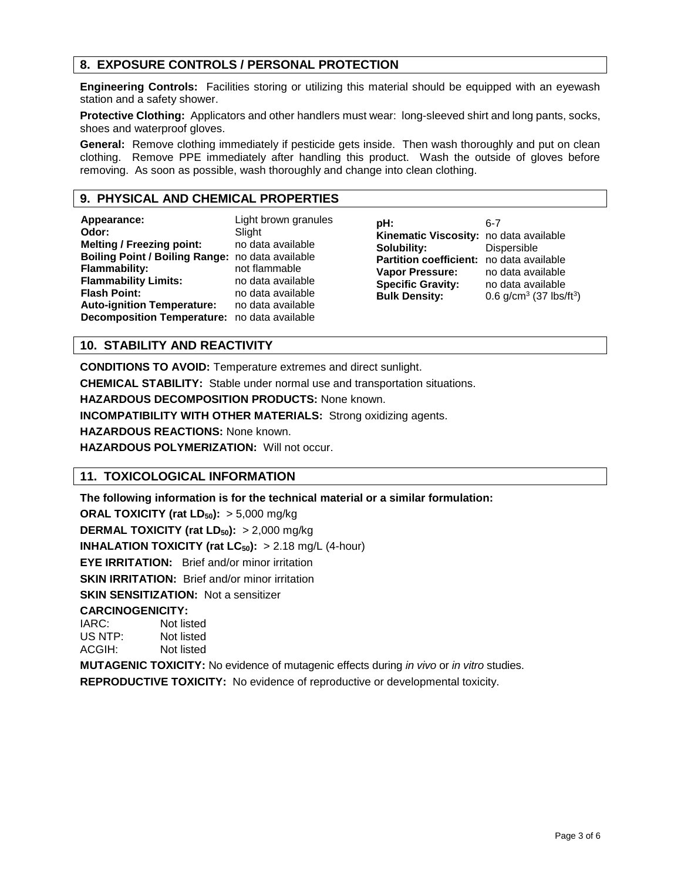# **8. EXPOSURE CONTROLS / PERSONAL PROTECTION**

**Engineering Controls:** Facilities storing or utilizing this material should be equipped with an eyewash station and a safety shower.

**Protective Clothing:** Applicators and other handlers must wear: long-sleeved shirt and long pants, socks, shoes and waterproof gloves.

**General:** Remove clothing immediately if pesticide gets inside. Then wash thoroughly and put on clean clothing. Remove PPE immediately after handling this product. Wash the outside of gloves before removing. As soon as possible, wash thoroughly and change into clean clothing.

## **9. PHYSICAL AND CHEMICAL PROPERTIES**

| Appearance:<br>Odor:<br><b>Melting / Freezing point:</b><br>Boiling Point / Boiling Range: no data available<br><b>Flammability:</b><br><b>Flammability Limits:</b><br><b>Flash Point:</b><br><b>Auto-ignition Temperature:</b><br>Decomposition Temperature: no data available | Light brown granules<br>Slight<br>no data available<br>not flammable<br>no data available<br>no data available<br>no data available | pH:<br>Kinematic Viscosity: no data available<br>Solubility:<br><b>Partition coefficient:</b> no data available<br><b>Vapor Pressure:</b><br><b>Specific Gravity:</b><br><b>Bulk Density:</b> | $6 - 7$<br>Dispersible<br>no data available<br>no data available<br>0.6 $g/cm^3$ (37 lbs/ft <sup>3</sup> ) |
|---------------------------------------------------------------------------------------------------------------------------------------------------------------------------------------------------------------------------------------------------------------------------------|-------------------------------------------------------------------------------------------------------------------------------------|-----------------------------------------------------------------------------------------------------------------------------------------------------------------------------------------------|------------------------------------------------------------------------------------------------------------|
|---------------------------------------------------------------------------------------------------------------------------------------------------------------------------------------------------------------------------------------------------------------------------------|-------------------------------------------------------------------------------------------------------------------------------------|-----------------------------------------------------------------------------------------------------------------------------------------------------------------------------------------------|------------------------------------------------------------------------------------------------------------|

# **10. STABILITY AND REACTIVITY**

**CONDITIONS TO AVOID:** Temperature extremes and direct sunlight.

**CHEMICAL STABILITY:** Stable under normal use and transportation situations.

**HAZARDOUS DECOMPOSITION PRODUCTS:** None known.

**INCOMPATIBILITY WITH OTHER MATERIALS:** Strong oxidizing agents.

**HAZARDOUS REACTIONS:** None known.

**HAZARDOUS POLYMERIZATION:** Will not occur.

## **11. TOXICOLOGICAL INFORMATION**

**The following information is for the technical material or a similar formulation:**

**ORAL TOXICITY (rat LD50):** > 5,000 mg/kg

**DERMAL TOXICITY (rat LD50):** > 2,000 mg/kg

**INHALATION TOXICITY (rat**  $LC_{50}$ **):**  $> 2.18$  mg/L (4-hour)

**EYE IRRITATION:** Brief and/or minor irritation

**SKIN IRRITATION:** Brief and/or minor irritation

**SKIN SENSITIZATION:** Not a sensitizer

# **CARCINOGENICITY:**<br>IARC: Not lis

Not listed US NTP: Not listed ACGIH: Not listed

**MUTAGENIC TOXICITY:** No evidence of mutagenic effects during *in vivo* or *in vitro* studies.

**REPRODUCTIVE TOXICITY:** No evidence of reproductive or developmental toxicity.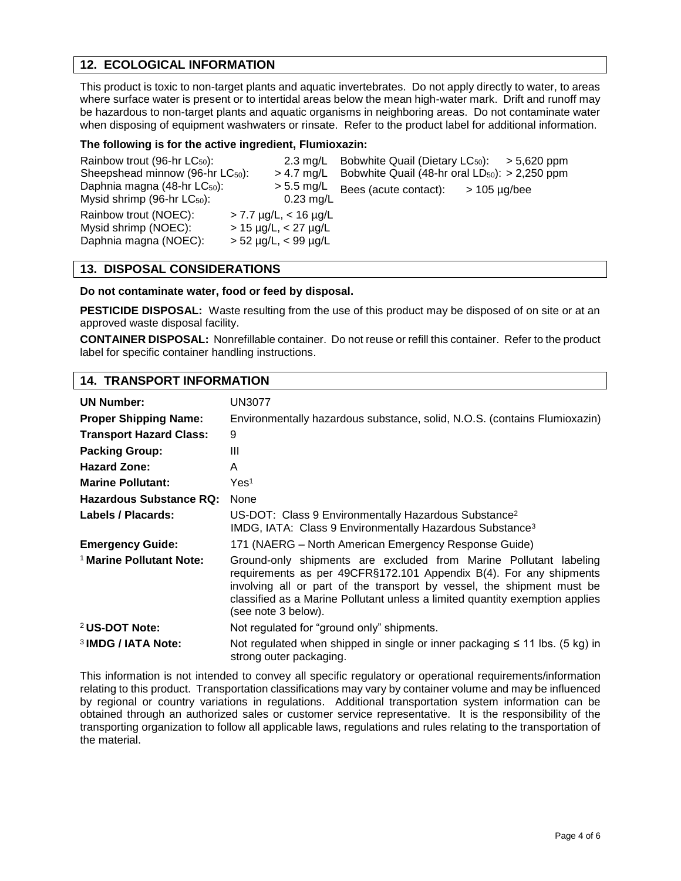## **12. ECOLOGICAL INFORMATION**

This product is toxic to non-target plants and aquatic invertebrates. Do not apply directly to water, to areas where surface water is present or to intertidal areas below the mean high-water mark. Drift and runoff may be hazardous to non-target plants and aquatic organisms in neighboring areas. Do not contaminate water when disposing of equipment washwaters or rinsate. Refer to the product label for additional information.

### **The following is for the active ingredient, Flumioxazin:**

| Rainbow trout (96-hr $LC_{50}$ ):                                            | $2.3 \text{ ma/L}$                                                                                     | Bobwhite Quail (Dietary $LC_{50}$ ): > 5,620 ppm    |                   |
|------------------------------------------------------------------------------|--------------------------------------------------------------------------------------------------------|-----------------------------------------------------|-------------------|
| Sheepshead minnow (96-hr LC <sub>50</sub> ):                                 | $> 4.7$ mg/L                                                                                           | Bobwhite Quail (48-hr oral $LD_{50}$ ): > 2,250 ppm |                   |
| Daphnia magna (48-hr LC <sub>50</sub> ):<br>Mysid shrimp (96-hr $LC_{50}$ ): | $> 5.5$ mg/L<br>$0.23$ mg/L                                                                            | Bees (acute contact):                               | $> 105 \mu g/bee$ |
| Rainbow trout (NOEC):<br>Mysid shrimp (NOEC):<br>Daphnia magna (NOEC):       | $>$ 7.7 $\mu$ g/L, $<$ 16 $\mu$ g/L<br>$> 15 \mu g/L, < 27 \mu g/L$<br>$> 52 \mu g/L$ , < 99 $\mu g/L$ |                                                     |                   |

## **13. DISPOSAL CONSIDERATIONS**

### **Do not contaminate water, food or feed by disposal.**

**PESTICIDE DISPOSAL:** Waste resulting from the use of this product may be disposed of on site or at an approved waste disposal facility.

**CONTAINER DISPOSAL:** Nonrefillable container. Do not reuse or refill this container. Refer to the product label for specific container handling instructions.

### **14. TRANSPORT INFORMATION**

| <b>UN Number:</b>                   | UN3077                                                                                                                                                                                                                                                                                                                   |
|-------------------------------------|--------------------------------------------------------------------------------------------------------------------------------------------------------------------------------------------------------------------------------------------------------------------------------------------------------------------------|
| <b>Proper Shipping Name:</b>        | Environmentally hazardous substance, solid, N.O.S. (contains Flumioxazin)                                                                                                                                                                                                                                                |
| <b>Transport Hazard Class:</b>      | 9                                                                                                                                                                                                                                                                                                                        |
| <b>Packing Group:</b>               | Ш                                                                                                                                                                                                                                                                                                                        |
| <b>Hazard Zone:</b>                 | A                                                                                                                                                                                                                                                                                                                        |
| <b>Marine Pollutant:</b>            | Yes <sup>1</sup>                                                                                                                                                                                                                                                                                                         |
| Hazardous Substance RQ:             | None                                                                                                                                                                                                                                                                                                                     |
| Labels / Placards:                  | US-DOT: Class 9 Environmentally Hazardous Substance <sup>2</sup><br>IMDG, IATA: Class 9 Environmentally Hazardous Substance <sup>3</sup>                                                                                                                                                                                 |
| <b>Emergency Guide:</b>             | 171 (NAERG – North American Emergency Response Guide)                                                                                                                                                                                                                                                                    |
| <sup>1</sup> Marine Pollutant Note: | Ground-only shipments are excluded from Marine Pollutant labeling<br>requirements as per 49CFR§172.101 Appendix B(4). For any shipments<br>involving all or part of the transport by vessel, the shipment must be<br>classified as a Marine Pollutant unless a limited quantity exemption applies<br>(see note 3 below). |
| <sup>2</sup> US-DOT Note:           | Not regulated for "ground only" shipments.                                                                                                                                                                                                                                                                               |
| <sup>3</sup> IMDG / IATA Note:      | Not regulated when shipped in single or inner packaging $\leq$ 11 lbs. (5 kg) in<br>strong outer packaging.                                                                                                                                                                                                              |

This information is not intended to convey all specific regulatory or operational requirements/information relating to this product. Transportation classifications may vary by container volume and may be influenced by regional or country variations in regulations. Additional transportation system information can be obtained through an authorized sales or customer service representative. It is the responsibility of the transporting organization to follow all applicable laws, regulations and rules relating to the transportation of the material.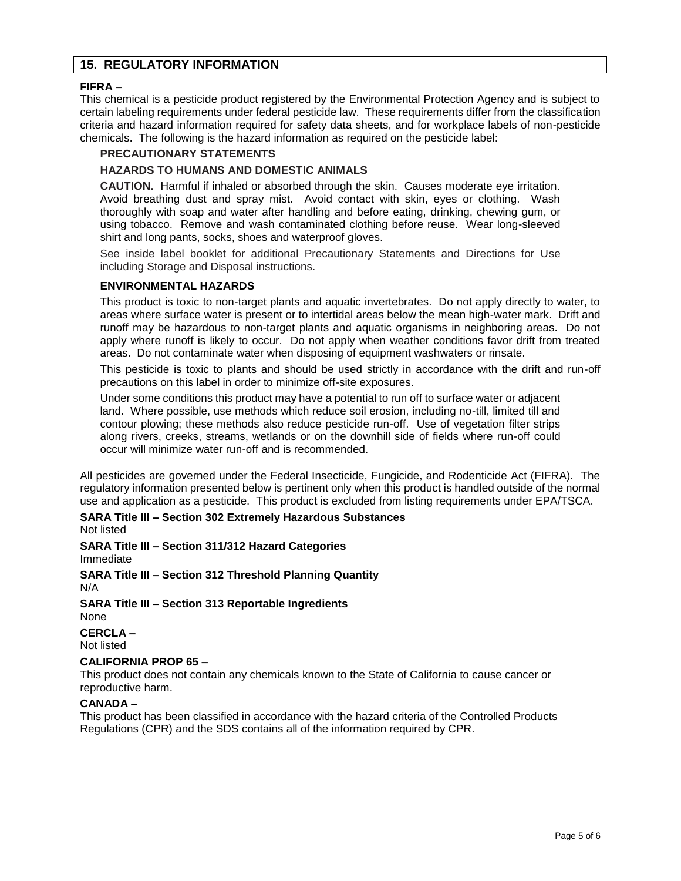## **15. REGULATORY INFORMATION**

### **FIFRA –**

This chemical is a pesticide product registered by the Environmental Protection Agency and is subject to certain labeling requirements under federal pesticide law. These requirements differ from the classification criteria and hazard information required for safety data sheets, and for workplace labels of non-pesticide chemicals. The following is the hazard information as required on the pesticide label:

## **PRECAUTIONARY STATEMENTS**

### **HAZARDS TO HUMANS AND DOMESTIC ANIMALS**

**CAUTION.** Harmful if inhaled or absorbed through the skin. Causes moderate eye irritation. Avoid breathing dust and spray mist. Avoid contact with skin, eyes or clothing. Wash thoroughly with soap and water after handling and before eating, drinking, chewing gum, or using tobacco. Remove and wash contaminated clothing before reuse. Wear long-sleeved shirt and long pants, socks, shoes and waterproof gloves.

See inside label booklet for additional Precautionary Statements and Directions for Use including Storage and Disposal instructions.

### **ENVIRONMENTAL HAZARDS**

This product is toxic to non-target plants and aquatic invertebrates. Do not apply directly to water, to areas where surface water is present or to intertidal areas below the mean high-water mark. Drift and runoff may be hazardous to non-target plants and aquatic organisms in neighboring areas. Do not apply where runoff is likely to occur. Do not apply when weather conditions favor drift from treated areas. Do not contaminate water when disposing of equipment washwaters or rinsate.

This pesticide is toxic to plants and should be used strictly in accordance with the drift and run-off precautions on this label in order to minimize off-site exposures.

Under some conditions this product may have a potential to run off to surface water or adjacent land. Where possible, use methods which reduce soil erosion, including no-till, limited till and contour plowing; these methods also reduce pesticide run-off. Use of vegetation filter strips along rivers, creeks, streams, wetlands or on the downhill side of fields where run-off could occur will minimize water run-off and is recommended.

All pesticides are governed under the Federal Insecticide, Fungicide, and Rodenticide Act (FIFRA). The regulatory information presented below is pertinent only when this product is handled outside of the normal use and application as a pesticide. This product is excluded from listing requirements under EPA/TSCA.

**SARA Title III – Section 302 Extremely Hazardous Substances** Not listed

**SARA Title III – Section 311/312 Hazard Categories**

Immediate

**SARA Title III – Section 312 Threshold Planning Quantity** N/A

**SARA Title III – Section 313 Reportable Ingredients** None

**CERCLA –**

Not listed

### **CALIFORNIA PROP 65 –**

This product does not contain any chemicals known to the State of California to cause cancer or reproductive harm.

### **CANADA –**

This product has been classified in accordance with the hazard criteria of the Controlled Products Regulations (CPR) and the SDS contains all of the information required by CPR.